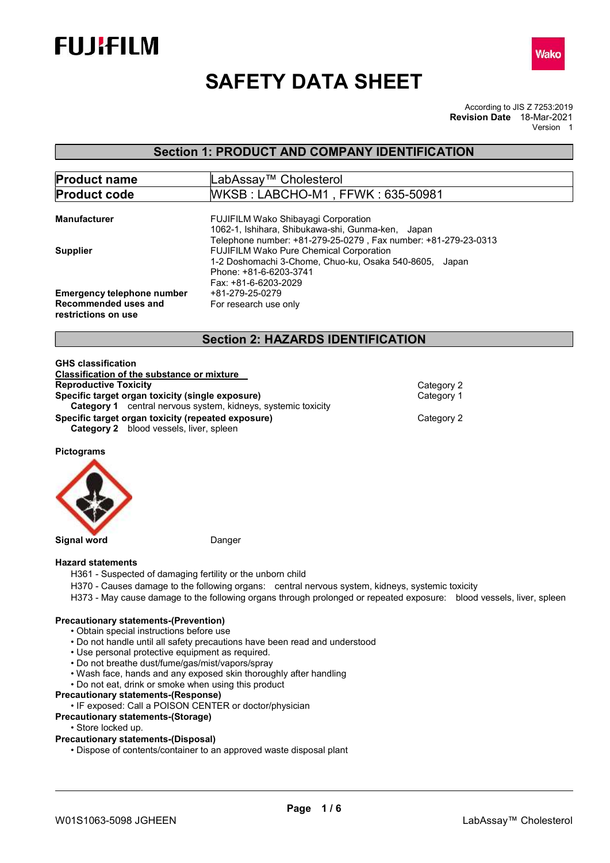



# SAFETY DATA SHEET

According to JIS Z 7253:2019 Revision Date 18-Mar-2021 Version 1

# Section 1: PRODUCT AND COMPANY IDENTIFICATION

| <b>Product name</b>                                                              | LabAssav™ Cholesterol                                                                                                                                             |
|----------------------------------------------------------------------------------|-------------------------------------------------------------------------------------------------------------------------------------------------------------------|
| <b>Product code</b>                                                              | WKSB: LABCHO-M1, FFWK: 635-50981                                                                                                                                  |
| <b>Manufacturer</b>                                                              | <b>FUJIFILM Wako Shibayagi Corporation</b><br>1062-1, Ishihara, Shibukawa-shi, Gunma-ken, Japan<br>Telephone number: +81-279-25-0279, Fax number: +81-279-23-0313 |
| <b>Supplier</b>                                                                  | <b>FUJIFILM Wako Pure Chemical Corporation</b><br>1-2 Doshomachi 3-Chome, Chuo-ku, Osaka 540-8605, Japan<br>Phone: +81-6-6203-3741<br>Fax: +81-6-6203-2029        |
| <b>Emergency telephone number</b><br>Recommended uses and<br>restrictions on use | +81-279-25-0279<br>For research use only                                                                                                                          |

# Section 2: HAZARDS IDENTIFICATION

| Category 2 |
|------------|
| Category 1 |
|            |
| Category 2 |
|            |
|            |

Pictograms



#### Hazard statements

- H361 Suspected of damaging fertility or the unborn child
- H370 Causes damage to the following organs: central nervous system, kidneys, systemic toxicity
- H373 May cause damage to the following organs through prolonged or repeated exposure: blood vessels, liver, spleen

#### Precautionary statements-(Prevention)

- Obtain special instructions before use
- Do not handle until all safety precautions have been read and understood
- Use personal protective equipment as required.
- Do not breathe dust/fume/gas/mist/vapors/spray
- Wash face, hands and any exposed skin thoroughly after handling
- Do not eat, drink or smoke when using this product

#### Precautionary statements-(Response)

• IF exposed: Call a POISON CENTER or doctor/physician

- Precautionary statements-(Storage)
	- Store locked up.

#### Precautionary statements-(Disposal)

• Dispose of contents/container to an approved waste disposal plant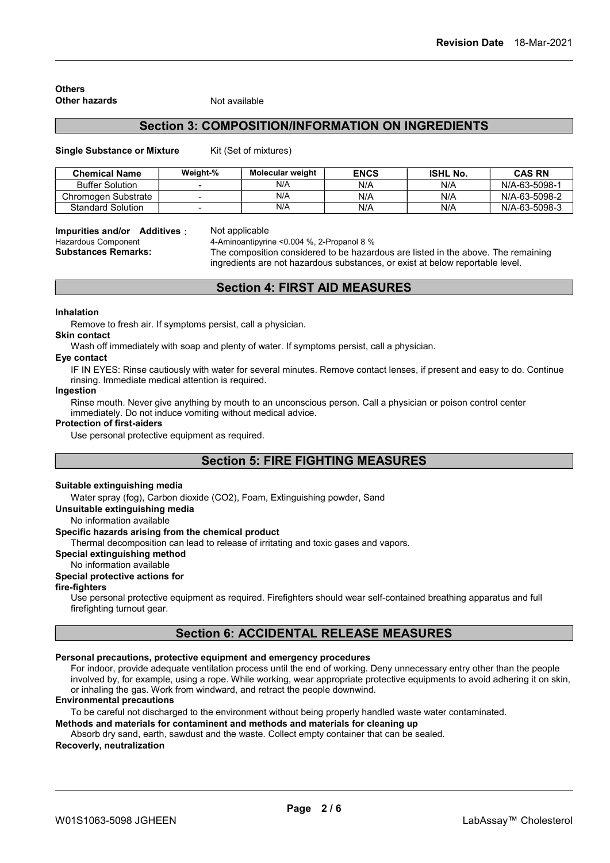#### **Others** Other hazards Not available

# Section 3: COMPOSITION/INFORMATION ON INGREDIENTS

Single Substance or Mixture Kit (Set of mixtures)

| <b>Chemical Name</b>     | Weight-% | Molecular weight | <b>ENCS</b> | <b>ISHL No.</b> | <b>CAS RN</b> |
|--------------------------|----------|------------------|-------------|-----------------|---------------|
| <b>Buffer Solution</b>   |          | N/A              | N/A         | N/A             | N/A-63-5098-1 |
| Chromogen Substrate      |          | N/A              | N/A         | N/A             | N/A-63-5098-2 |
| <b>Standard Solution</b> |          | N/A              | N/A         | N/A             | N/A-63-5098-3 |

### Impurities and/or Additives: Not applicable

Hazardous Component 4-Aminoantipyrine <0.004 %, 2-Propanol 8 %

Substances Remarks: The composition considered to be hazardous are listed in the above. The remaining ingredients are not hazardous substances, or exist at below reportable level.

# Section 4: FIRST AID MEASURES

#### Inhalation

Remove to fresh air. If symptoms persist, call a physician.

#### Skin contact

Wash off immediately with soap and plenty of water. If symptoms persist, call a physician.

# Eye contact

IF IN EYES: Rinse cautiously with water for several minutes. Remove contact lenses, if present and easy to do. Continue rinsing. Immediate medical attention is required.

# Ingestion

Rinse mouth. Never give anything by mouth to an unconscious person. Call a physician or poison control center immediately. Do not induce vomiting without medical advice.

#### Protection of first-aiders

Use personal protective equipment as required.

# Section 5: FIRE FIGHTING MEASURES

#### Suitable extinguishing media

Water spray (fog), Carbon dioxide (CO2), Foam, Extinguishing powder, Sand

# Unsuitable extinguishing media

No information available

### Specific hazards arising from the chemical product

Thermal decomposition can lead to release of irritating and toxic gases and vapors.

#### Special extinguishing method

### No information available

### Special protective actions for

#### fire-fighters

Use personal protective equipment as required. Firefighters should wear self-contained breathing apparatus and full firefighting turnout gear.

# Section 6: ACCIDENTAL RELEASE MEASURES

# Personal precautions, protective equipment and emergency procedures

For indoor, provide adequate ventilation process until the end of working. Deny unnecessary entry other than the people involved by, for example, using a rope. While working, wear appropriate protective equipments to avoid adhering it on skin, or inhaling the gas. Work from windward, and retract the people downwind.

#### Environmental precautions

To be careful not discharged to the environment without being properly handled waste water contaminated.

#### Methods and materials for contaminent and methods and materials for cleaning up

Absorb dry sand, earth, sawdust and the waste. Collect empty container that can be sealed.

### Recoverly, neutralization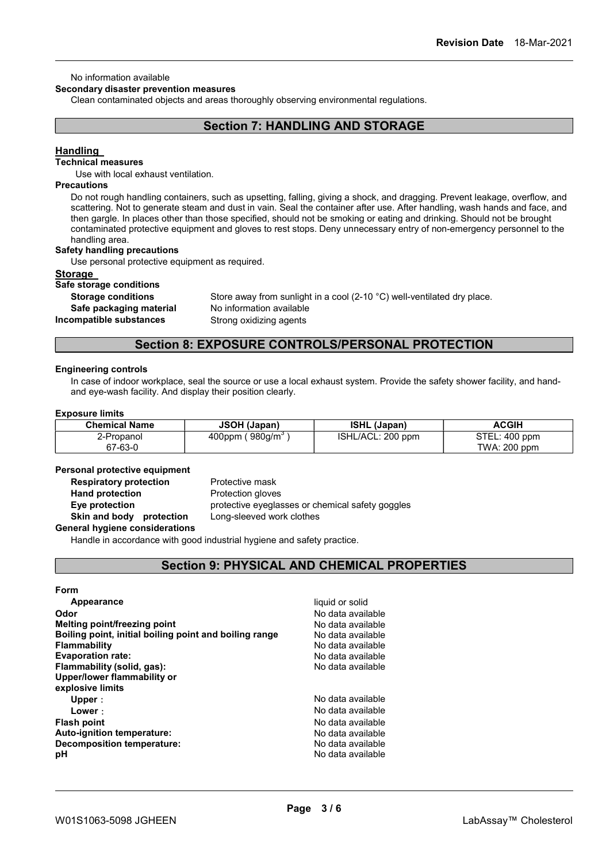### No information available

#### Secondary disaster prevention measures

Clean contaminated objects and areas thoroughly observing environmental regulations.

# Section 7: HANDLING AND STORAGE

### Handling

# Technical measures

Use with local exhaust ventilation.

### **Precautions**

Do not rough handling containers, such as upsetting, falling, giving a shock, and dragging. Prevent leakage, overflow, and scattering. Not to generate steam and dust in vain. Seal the container after use. After handling, wash hands and face, and then gargle. In places other than those specified, should not be smoking or eating and drinking. Should not be brought contaminated protective equipment and gloves to rest stops. Deny unnecessary entry of non-emergency personnel to the handling area.

#### Safety handling precautions

Use personal protective equipment as required.

#### **Storage**

### Safe storage conditions

Safe packaging material No information available

Storage conditions Store away from sunlight in a cool (2-10 °C) well-ventilated dry place. Incompatible substances Strong oxidizing agents

# Section 8: EXPOSURE CONTROLS/PERSONAL PROTECTION

#### Engineering controls

In case of indoor workplace, seal the source or use a local exhaust system. Provide the safety shower facility, and handand eye-wash facility. And display their position clearly.

#### Exposure limits

| <b>Chemical Name</b> | <b>JSOH (Japan)</b>         | <b>ISHL (Japan)</b> | <b>ACGIH</b>  |
|----------------------|-----------------------------|---------------------|---------------|
| 2-Propanol           | 400ppm (980g/m <sup>3</sup> | ISHL/ACL: 200 ppm   | STEL: 400 ppm |
| 67-63-0              |                             |                     | TWA: 200 ppm  |

#### Personal protective equipment

**Respiratory protection** Protective mask

Hand protection **Protection** Protection gloves

Eye protection **protective eyeglasses or chemical safety goggles** Skin and body protection Long-sleeved work clothes

# General hygiene considerations

Handle in accordance with good industrial hygiene and safety practice.

# Section 9: PHYSICAL AND CHEMICAL PROPERTIES

#### Form

| Appearance                                             | liquid or solid   |
|--------------------------------------------------------|-------------------|
| Odor                                                   | No data available |
| Melting point/freezing point                           | No data available |
| Boiling point, initial boiling point and boiling range | No data available |
| <b>Flammability</b>                                    | No data available |
| <b>Evaporation rate:</b>                               | No data available |
| Flammability (solid, gas):                             | No data available |
| Upper/lower flammability or                            |                   |
| explosive limits                                       |                   |
| Upper :                                                | No data available |
| Lower:                                                 | No data available |
| <b>Flash point</b>                                     | No data available |
| Auto-ignition temperature:                             | No data available |
| <b>Decomposition temperature:</b>                      | No data available |
| рH                                                     | No data available |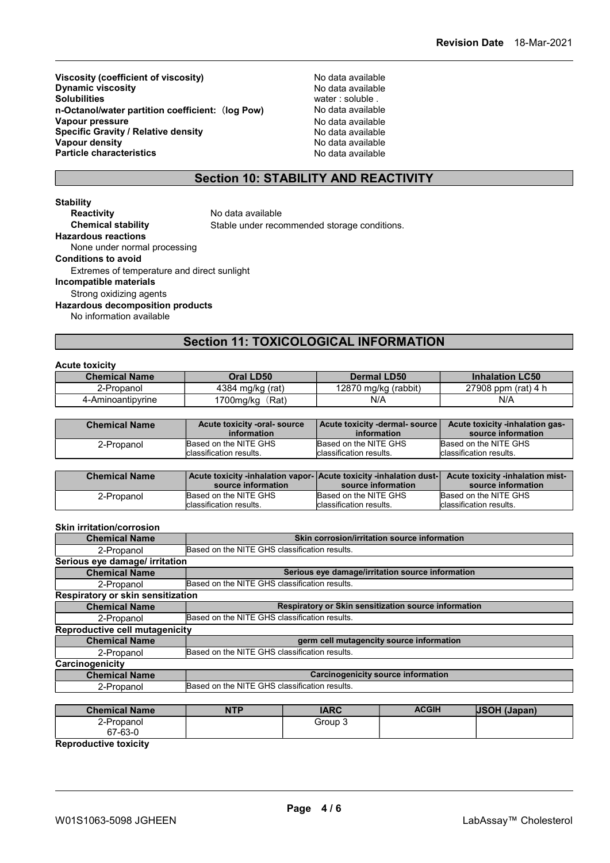Viscosity (coefficient of viscosity)<br>
Dynamic viscosity<br>
Dynamic viscosity<br>
No data available Dynamic viscosity<br>Solubilities n-Octanol/water partition coefficient: (log Pow) No data available<br>Vapour pressure No data available Vapour pressure Specific Gravity / Relative density<br>
Vapour density<br>
Vapour density<br>
No data available vapour density<br>
Particle characteristics<br>
Particle characteristics<br>
No data available  $P$ article characteristics

water : soluble .<br>No data available

# Section 10: STABILITY AND REACTIVITY

Stability<br>Reactivity No data available Chemical stability Stable under recommended storage conditions. Hazardous reactions None under normal processing Conditions to avoid Extremes of temperature and direct sunlight Incompatible materials Strong oxidizing agents Hazardous decomposition products No information available

# Section 11: TOXICOLOGICAL INFORMATION

### Acute toxicity

| - ------ ------      |                    |                      |                        |
|----------------------|--------------------|----------------------|------------------------|
| <b>Chemical Name</b> | Oral LD50          | <b>Dermal LD50</b>   | <b>Inhalation LC50</b> |
| 2-Propanol           | 4384 mg/kg (rat)   | 12870 mg/kg (rabbit) | 27908 ppm (rat) $4 h$  |
| 4-Aminoantipyrine    | (Rat)<br>1700mg/kg | N/A                  | N/A                    |

| <b>Chemical Name</b> | Acute toxicity -oral-source | Acute toxicity -dermal- source | Acute toxicity -inhalation gas- |
|----------------------|-----------------------------|--------------------------------|---------------------------------|
|                      | information                 | information                    | source information              |
| 2-Propanol           | Based on the NITE GHS       | Based on the NITE GHS          | Based on the NITE GHS           |
|                      | Iclassification results.    | Iclassification results.       | <b>Iclassification results</b>  |

| <b>Chemical Name</b> | Acute toxicity -inhalation vapor- Acute toxicity -inhalation dust-<br>source information | source information       | Acute toxicity -inhalation mist-<br>source information |
|----------------------|------------------------------------------------------------------------------------------|--------------------------|--------------------------------------------------------|
| 2-Propanol           | Based on the NITE GHS                                                                    | Based on the NITE GHS    | Based on the NITE GHS                                  |
|                      | Iclassification results.                                                                 | Iclassification results. | classification results.                                |

#### Skin irritation/corrosion

| <b>Chemical Name</b>              | Skin corrosion/irritation source information         |  |  |
|-----------------------------------|------------------------------------------------------|--|--|
| 2-Propanol                        | Based on the NITE GHS classification results.        |  |  |
| Serious eye damage/ irritation    |                                                      |  |  |
| <b>Chemical Name</b>              | Serious eye damage/irritation source information     |  |  |
| 2-Propanol                        | Based on the NITE GHS classification results.        |  |  |
| Respiratory or skin sensitization |                                                      |  |  |
| <b>Chemical Name</b>              | Respiratory or Skin sensitization source information |  |  |
| 2-Propanol                        | Based on the NITE GHS classification results.        |  |  |
| Reproductive cell mutagenicity    |                                                      |  |  |
| <b>Chemical Name</b>              | germ cell mutagencity source information             |  |  |
| 2-Propanol                        | Based on the NITE GHS classification results.        |  |  |
| Carcinogenicity                   |                                                      |  |  |
| <b>Chemical Name</b>              | <b>Carcinogenicity source information</b>            |  |  |
| 2-Propanol                        | Based on the NITE GHS classification results.        |  |  |

| <b>Chemical Name</b> | NTP | <b>IARC</b> | <b>ACGIH</b> | <b>JSOH (Japan)</b> |
|----------------------|-----|-------------|--------------|---------------------|
| 2-Propanol           |     | Group 3     |              |                     |
| 67-63-0              |     |             |              |                     |

Reproductive toxicity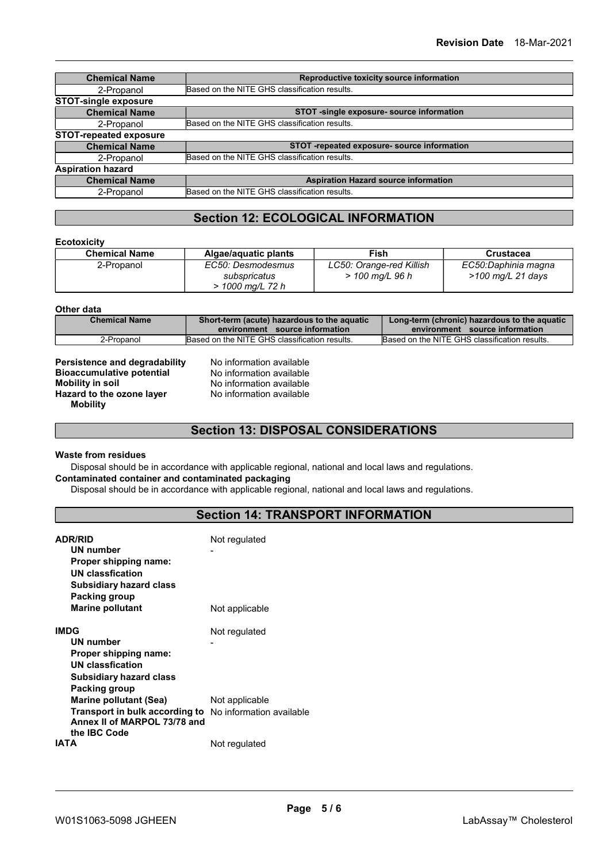| <b>Chemical Name</b>          | Reproductive toxicity source information      |  |  |
|-------------------------------|-----------------------------------------------|--|--|
| 2-Propanol                    | Based on the NITE GHS classification results. |  |  |
| <b>STOT-single exposure</b>   |                                               |  |  |
| <b>Chemical Name</b>          | STOT -single exposure- source information     |  |  |
| 2-Propanol                    | Based on the NITE GHS classification results. |  |  |
| <b>STOT-repeated exposure</b> |                                               |  |  |
| <b>Chemical Name</b>          | STOT -repeated exposure- source information   |  |  |
| 2-Propanol                    | Based on the NITE GHS classification results. |  |  |
| <b>Aspiration hazard</b>      |                                               |  |  |
| <b>Chemical Name</b>          | <b>Aspiration Hazard source information</b>   |  |  |
| 2-Propanol                    | Based on the NITE GHS classification results. |  |  |

# Section 12: ECOLOGICAL INFORMATION

### **Ecotoxicity**

| <b>Chemical Name</b> | Algae/aguatic plants                                  | Fish                                          | <b>Crustacea</b>                         |
|----------------------|-------------------------------------------------------|-----------------------------------------------|------------------------------------------|
| 2-Propanol           | EC50: Desmodesmus<br>subspricatus<br>> 1000 mg/L 72 h | LC50: Orange-red Killish<br>$>$ 100 mg/L 96 h | EC50:Daphinia magna<br>>100 mg/L 21 days |

#### Other data

| <b>Chemical Name</b> | Short-term (acute) hazardous to the aquatic<br>environment source information | Long-term (chronic) hazardous to the aquatic<br>environment source information |
|----------------------|-------------------------------------------------------------------------------|--------------------------------------------------------------------------------|
| 2-Propanol           | Based on the NITE GHS classification results.                                 | Based on the NITE GHS classification results.                                  |

| <b>Persistence and degradability</b> |
|--------------------------------------|
| <b>Bioaccumulative potential</b>     |
| <b>Mobility in soil</b>              |
| Hazard to the ozone layer            |
| <b>Mobility</b>                      |

No information available No information available No information available No information available

# Section 13: DISPOSAL CONSIDERATIONS

### Waste from residues

Disposal should be in accordance with applicable regional, national and local laws and regulations. Contaminated container and contaminated packaging

Disposal should be in accordance with applicable regional, national and local laws and regulations.

# Section 14: TRANSPORT INFORMATION

| <b>ADR/RID</b><br>UN number<br>Proper shipping name:<br>UN classfication<br><b>Subsidiary hazard class</b><br>Packing group                                                                               | Not regulated  |
|-----------------------------------------------------------------------------------------------------------------------------------------------------------------------------------------------------------|----------------|
| <b>Marine pollutant</b>                                                                                                                                                                                   | Not applicable |
| <b>IMDG</b><br><b>UN number</b><br>Proper shipping name:<br><b>UN classfication</b>                                                                                                                       | Not regulated  |
| <b>Subsidiary hazard class</b><br>Packing group<br><b>Marine pollutant (Sea)</b><br><b>Transport in bulk according to</b> No information available<br>Annex II of MARPOL 73/78 and<br>the <b>IBC</b> Code | Not applicable |
| IATA                                                                                                                                                                                                      | Not regulated  |